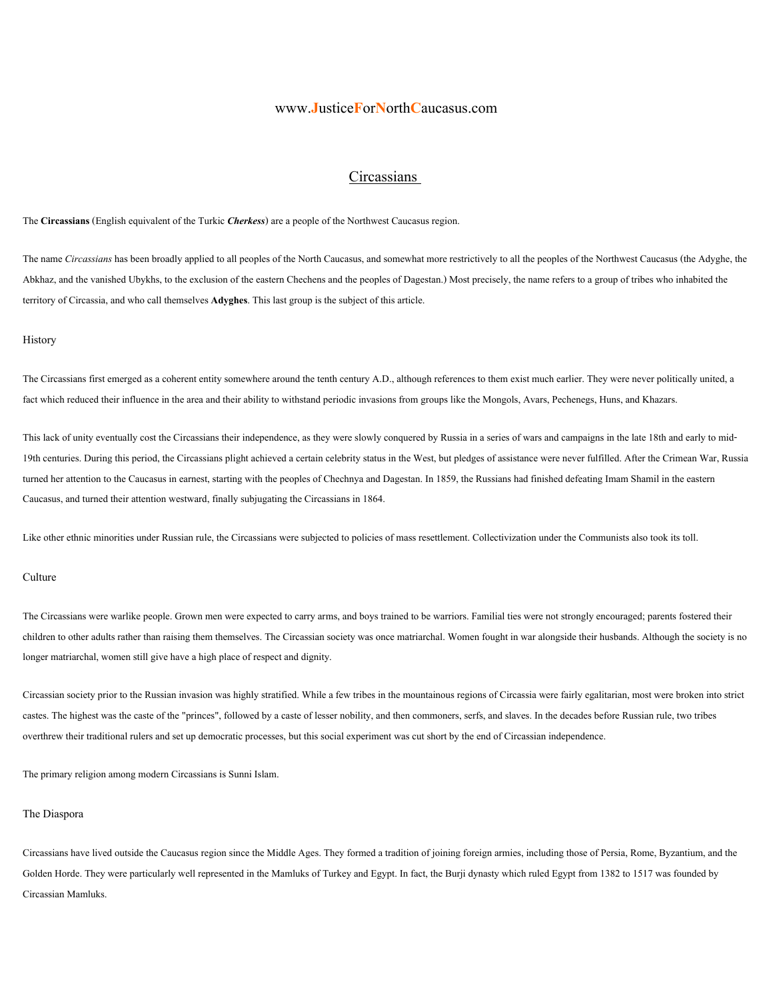## www.**J**ustice**F**or**N**orth**C**aucasus.com

## **Circassians**

The **Circassians** (English equivalent of the Turkic *Cherkess*) are a people of the Northwest Caucasus region.

The name *Circassians* has been broadly applied to all peoples of the North Caucasus, and somewhat more restrictively to all the peoples of the Northwest Caucasus (the Adyghe, the Abkhaz, and the vanished Ubykhs, to the exclusion of the eastern Chechens and the peoples of Dagestan.) Most precisely, the name refers to a group of tribes who inhabited the territory of Circassia, and who call themselves **Adyghes**. This last group is the subject of this article.

### History

The Circassians first emerged as a coherent entity somewhere around the tenth century A.D., although references to them exist much earlier. They were never politically united, a fact which reduced their influence in the area and their ability to withstand periodic invasions from groups like the Mongols, Avars, Pechenegs, Huns, and Khazars.

This lack of unity eventually cost the Circassians their independence, as they were slowly conquered by Russia in a series of wars and campaigns in the late 18th and early to mid-19th centuries. During this period, the Circassians plight achieved a certain celebrity status in the West, but pledges of assistance were never fulfilled. After the Crimean War, Russia turned her attention to the Caucasus in earnest, starting with the peoples of Chechnya and Dagestan. In 1859, the Russians had finished defeating Imam Shamil in the eastern Caucasus, and turned their attention westward, finally subjugating the Circassians in 1864.

Like other ethnic minorities under Russian rule, the Circassians were subjected to policies of mass resettlement. Collectivization under the Communists also took its toll.

#### **Culture**

The Circassians were warlike people. Grown men were expected to carry arms, and boys trained to be warriors. Familial ties were not strongly encouraged; parents fostered their children to other adults rather than raising them themselves. The Circassian society was once matriarchal. Women fought in war alongside their husbands. Although the society is no longer matriarchal, women still give have a high place of respect and dignity.

Circassian society prior to the Russian invasion was highly stratified. While a few tribes in the mountainous regions of Circassia were fairly egalitarian, most were broken into strict castes. The highest was the caste of the "princes", followed by a caste of lesser nobility, and then commoners, serfs, and slaves. In the decades before Russian rule, two tribes overthrew their traditional rulers and set up democratic processes, but this social experiment was cut short by the end of Circassian independence.

The primary religion among modern Circassians is Sunni Islam.

#### The Diaspora

Circassians have lived outside the Caucasus region since the Middle Ages. They formed a tradition of joining foreign armies, including those of Persia, Rome, Byzantium, and the Golden Horde. They were particularly well represented in the Mamluks of Turkey and Egypt. In fact, the Burji dynasty which ruled Egypt from 1382 to 1517 was founded by Circassian Mamluks.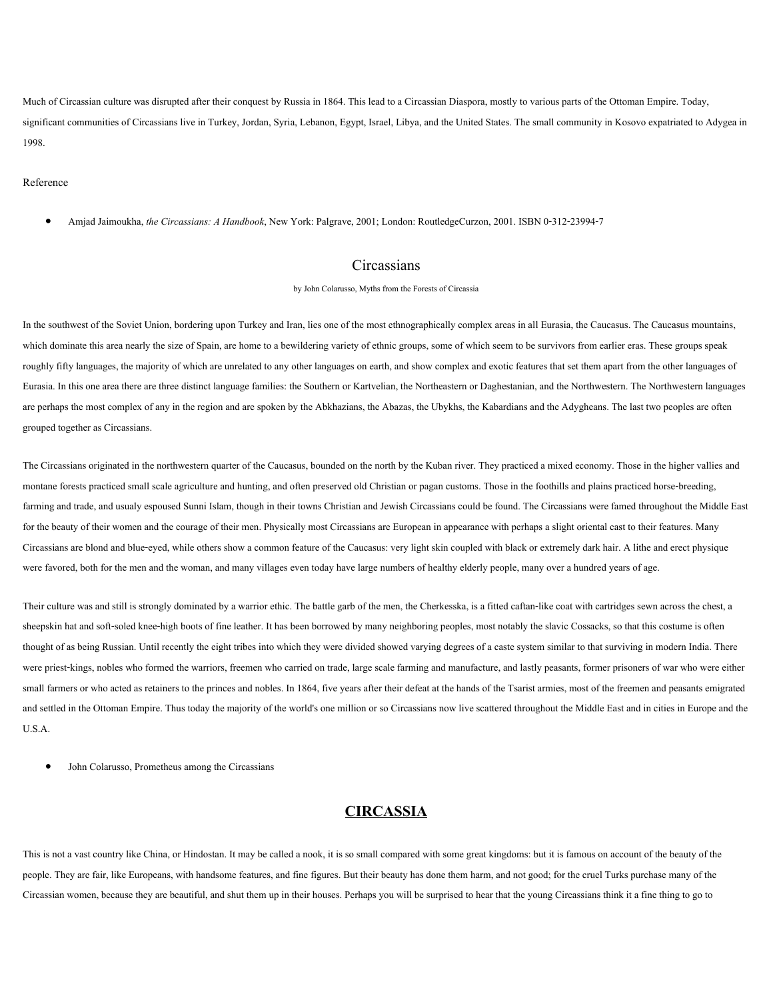Much of Circassian culture was disrupted after their conquest by Russia in 1864. This lead to a Circassian Diaspora, mostly to various parts of the Ottoman Empire. Today, significant communities of Circassians live in Turkey, Jordan, Syria, Lebanon, Egypt, Israel, Libya, and the United States. The small community in Kosovo expatriated to Adygea in 1998.

#### Reference

• Amjad Jaimoukha, *the Circassians: A Handbook*, New York: Palgrave, 2001; London: RoutledgeCurzon, 2001. ISBN 0-312-23994-7

### **Circassians**

by John Colarusso, Myths from the Forests of Circassia

In the southwest of the Soviet Union, bordering upon Turkey and Iran, lies one of the most ethnographically complex areas in all Eurasia, the Caucasus. The Caucasus mountains, which dominate this area nearly the size of Spain, are home to a bewildering variety of ethnic groups, some of which seem to be survivors from earlier eras. These groups speak roughly fifty languages, the majority of which are unrelated to any other languages on earth, and show complex and exotic features that set them apart from the other languages of Eurasia. In this one area there are three distinct language families: the Southern or Kartvelian, the Northeastern or Daghestanian, and the Northwestern. The Northwestern languages are perhaps the most complex of any in the region and are spoken by the Abkhazians, the Abazas, the Ubykhs, the Kabardians and the Adygheans. The last two peoples are often grouped together as Circassians.

The Circassians originated in the northwestern quarter of the Caucasus, bounded on the north by the Kuban river. They practiced a mixed economy. Those in the higher vallies and montane forests practiced small scale agriculture and hunting, and often preserved old Christian or pagan customs. Those in the foothills and plains practiced horse-breeding, farming and trade, and usualy espoused Sunni Islam, though in their towns Christian and Jewish Circassians could be found. The Circassians were famed throughout the Middle East for the beauty of their women and the courage of their men. Physically most Circassians are European in appearance with perhaps a slight oriental cast to their features. Many Circassians are blond and blue-eyed, while others show a common feature of the Caucasus: very light skin coupled with black or extremely dark hair. A lithe and erect physique were favored, both for the men and the woman, and many villages even today have large numbers of healthy elderly people, many over a hundred years of age.

Their culture was and still is strongly dominated by a warrior ethic. The battle garb of the men, the Cherkesska, is a fitted caftan-like coat with cartridges sewn across the chest, a sheepskin hat and soft-soled knee-high boots of fine leather. It has been borrowed by many neighboring peoples, most notably the slavic Cossacks, so that this costume is often thought of as being Russian. Until recently the eight tribes into which they were divided showed varying degrees of a caste system similar to that surviving in modern India. There were priest-kings, nobles who formed the warriors, freemen who carried on trade, large scale farming and manufacture, and lastly peasants, former prisoners of war who were either small farmers or who acted as retainers to the princes and nobles. In 1864, five years after their defeat at the hands of the Tsarist armies, most of the freemen and peasants emigrated and settled in the Ottoman Empire. Thus today the majority of the world's one million or so Circassians now live scattered throughout the Middle East and in cities in Europe and the U.S.A.

• John Colarusso, Prometheus among the Circassians

# **CIRCASSIA**

This is not a vast country like China, or Hindostan. It may be called a nook, it is so small compared with some great kingdoms: but it is famous on account of the beauty of the people. They are fair, like Europeans, with handsome features, and fine figures. But their beauty has done them harm, and not good; for the cruel Turks purchase many of the Circassian women, because they are beautiful, and shut them up in their houses. Perhaps you will be surprised to hear that the young Circassians think it a fine thing to go to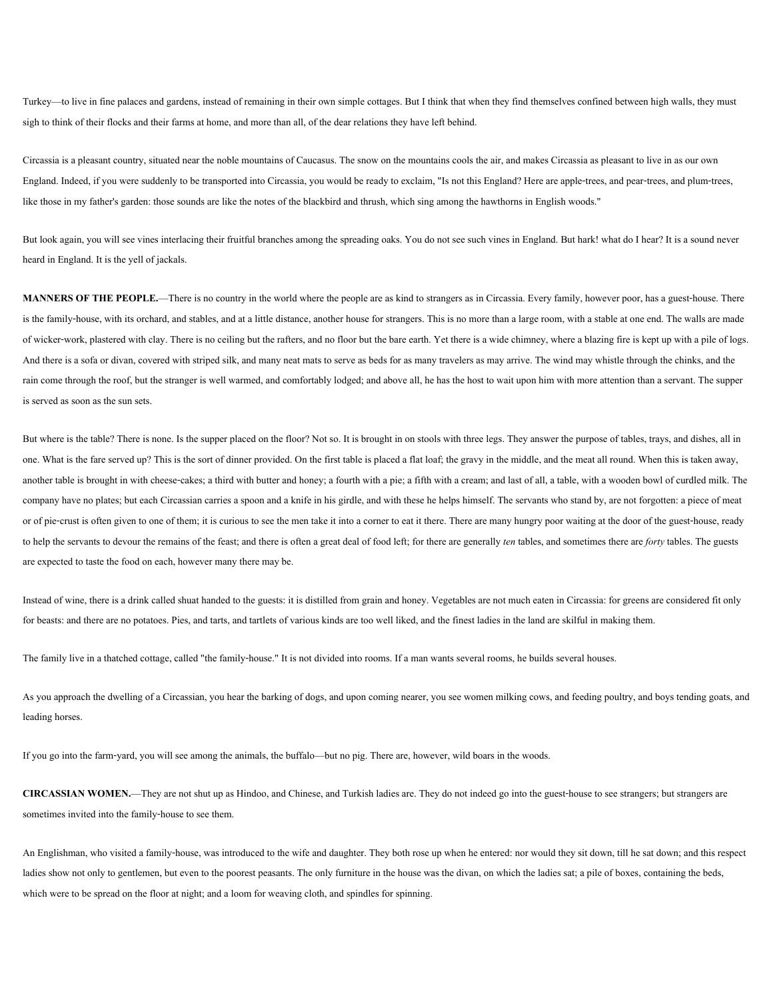Turkey—to live in fine palaces and gardens, instead of remaining in their own simple cottages. But I think that when they find themselves confined between high walls, they must sigh to think of their flocks and their farms at home, and more than all, of the dear relations they have left behind.

Circassia is a pleasant country, situated near the noble mountains of Caucasus. The snow on the mountains cools the air, and makes Circassia as pleasant to live in as our own England. Indeed, if you were suddenly to be transported into Circassia, you would be ready to exclaim, "Is not this England? Here are apple-trees, and pear-trees, and plum-trees, like those in my father's garden: those sounds are like the notes of the blackbird and thrush, which sing among the hawthorns in English woods."

But look again, you will see vines interlacing their fruitful branches among the spreading oaks. You do not see such vines in England. But hark! what do I hear? It is a sound never heard in England. It is the yell of jackals.

**MANNERS OF THE PEOPLE.**—There is no country in the world where the people are as kind to strangers as in Circassia. Every family, however poor, has a guest-house. There is the family-house, with its orchard, and stables, and at a little distance, another house for strangers. This is no more than a large room, with a stable at one end. The walls are made of wicker-work, plastered with clay. There is no ceiling but the rafters, and no floor but the bare earth. Yet there is a wide chimney, where a blazing fire is kept up with a pile of logs. And there is a sofa or divan, covered with striped silk, and many neat mats to serve as beds for as many travelers as may arrive. The wind may whistle through the chinks, and the rain come through the roof, but the stranger is well warmed, and comfortably lodged; and above all, he has the host to wait upon him with more attention than a servant. The supper is served as soon as the sun sets.

But where is the table? There is none. Is the supper placed on the floor? Not so. It is brought in on stools with three legs. They answer the purpose of tables, trays, and dishes, all in one. What is the fare served up? This is the sort of dinner provided. On the first table is placed a flat loaf; the gravy in the middle, and the meat all round. When this is taken away, another table is brought in with cheese-cakes; a third with butter and honey; a fourth with a pie; a fifth with a cream; and last of all, a table, with a wooden bowl of curdled milk. The company have no plates; but each Circassian carries a spoon and a knife in his girdle, and with these he helps himself. The servants who stand by, are not forgotten: a piece of meat or of pie-crust is often given to one of them; it is curious to see the men take it into a corner to eat it there. There are many hungry poor waiting at the door of the guest-house, ready to help the servants to devour the remains of the feast; and there is often a great deal of food left; for there are generally *ten* tables, and sometimes there are *forty* tables. The guests are expected to taste the food on each, however many there may be.

Instead of wine, there is a drink called shuat handed to the guests: it is distilled from grain and honey. Vegetables are not much eaten in Circassia: for greens are considered fit only for beasts: and there are no potatoes. Pies, and tarts, and tartlets of various kinds are too well liked, and the finest ladies in the land are skilful in making them.

The family live in a thatched cottage, called "the family-house." It is not divided into rooms. If a man wants several rooms, he builds several houses.

As you approach the dwelling of a Circassian, you hear the barking of dogs, and upon coming nearer, you see women milking cows, and feeding poultry, and boys tending goats, and leading horses.

If you go into the farm-yard, you will see among the animals, the buffalo—but no pig. There are, however, wild boars in the woods.

**CIRCASSIAN WOMEN.**—They are not shut up as Hindoo, and Chinese, and Turkish ladies are. They do not indeed go into the guest-house to see strangers; but strangers are sometimes invited into the family-house to see them.

An Englishman, who visited a family-house, was introduced to the wife and daughter. They both rose up when he entered: nor would they sit down, till he sat down; and this respect ladies show not only to gentlemen, but even to the poorest peasants. The only furniture in the house was the divan, on which the ladies sat; a pile of boxes, containing the beds, which were to be spread on the floor at night; and a loom for weaving cloth, and spindles for spinning.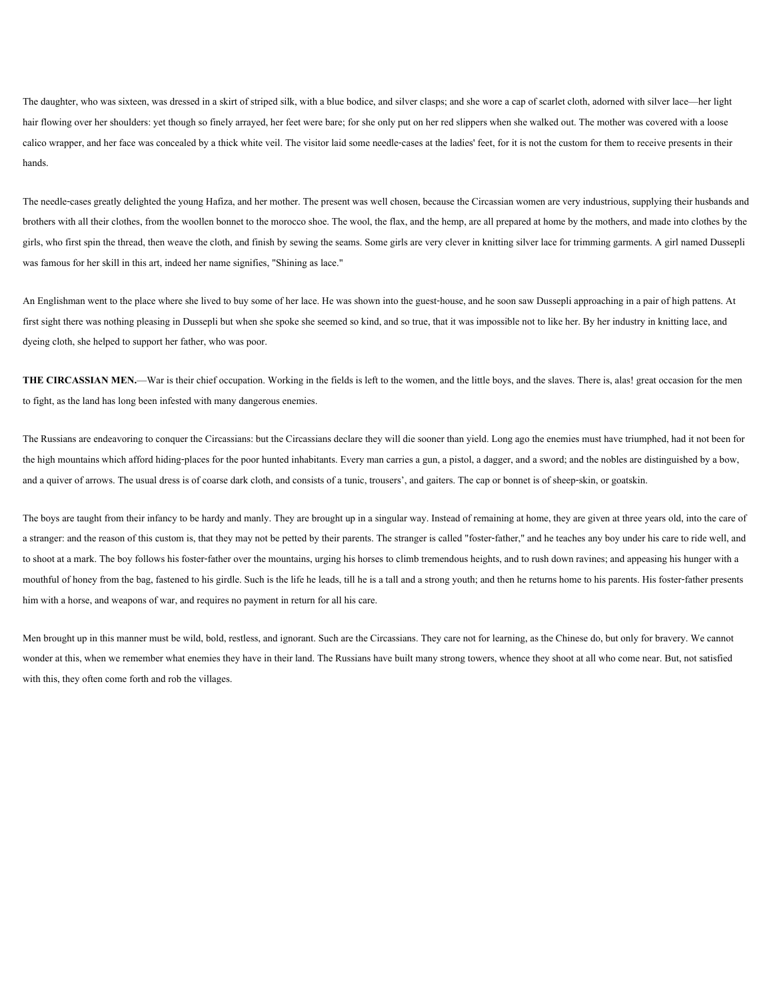The daughter, who was sixteen, was dressed in a skirt of striped silk, with a blue bodice, and silver clasps; and she wore a cap of scarlet cloth, adorned with silver lace—her light hair flowing over her shoulders: yet though so finely arrayed, her feet were bare; for she only put on her red slippers when she walked out. The mother was covered with a loose calico wrapper, and her face was concealed by a thick white veil. The visitor laid some needle-cases at the ladies' feet, for it is not the custom for them to receive presents in their hands.

The needle-cases greatly delighted the young Hafiza, and her mother. The present was well chosen, because the Circassian women are very industrious, supplying their husbands and brothers with all their clothes, from the woollen bonnet to the morocco shoe. The wool, the flax, and the hemp, are all prepared at home by the mothers, and made into clothes by the girls, who first spin the thread, then weave the cloth, and finish by sewing the seams. Some girls are very clever in knitting silver lace for trimming garments. A girl named Dussepli was famous for her skill in this art, indeed her name signifies, "Shining as lace."

An Englishman went to the place where she lived to buy some of her lace. He was shown into the guest-house, and he soon saw Dussepli approaching in a pair of high pattens. At first sight there was nothing pleasing in Dussepli but when she spoke she seemed so kind, and so true, that it was impossible not to like her. By her industry in knitting lace, and dyeing cloth, she helped to support her father, who was poor.

**THE CIRCASSIAN MEN.—War** is their chief occupation. Working in the fields is left to the women, and the little boys, and the slaves. There is, alas! great occasion for the men to fight, as the land has long been infested with many dangerous enemies.

The Russians are endeavoring to conquer the Circassians: but the Circassians declare they will die sooner than yield. Long ago the enemies must have triumphed, had it not been for the high mountains which afford hiding-places for the poor hunted inhabitants. Every man carries a gun, a pistol, a dagger, and a sword; and the nobles are distinguished by a bow, and a quiver of arrows. The usual dress is of coarse dark cloth, and consists of a tunic, trousers', and gaiters. The cap or bonnet is of sheep-skin, or goatskin.

The boys are taught from their infancy to be hardy and manly. They are brought up in a singular way. Instead of remaining at home, they are given at three years old, into the care of a stranger: and the reason of this custom is, that they may not be petted by their parents. The stranger is called "foster-father," and he teaches any boy under his care to ride well, and to shoot at a mark. The boy follows his foster-father over the mountains, urging his horses to climb tremendous heights, and to rush down ravines; and appeasing his hunger with a mouthful of honey from the bag, fastened to his girdle. Such is the life he leads, till he is a tall and a strong youth; and then he returns home to his parents. His foster-father presents him with a horse, and weapons of war, and requires no payment in return for all his care.

Men brought up in this manner must be wild, bold, restless, and ignorant. Such are the Circassians. They care not for learning, as the Chinese do, but only for bravery. We cannot wonder at this, when we remember what enemies they have in their land. The Russians have built many strong towers, whence they shoot at all who come near. But, not satisfied with this, they often come forth and rob the villages.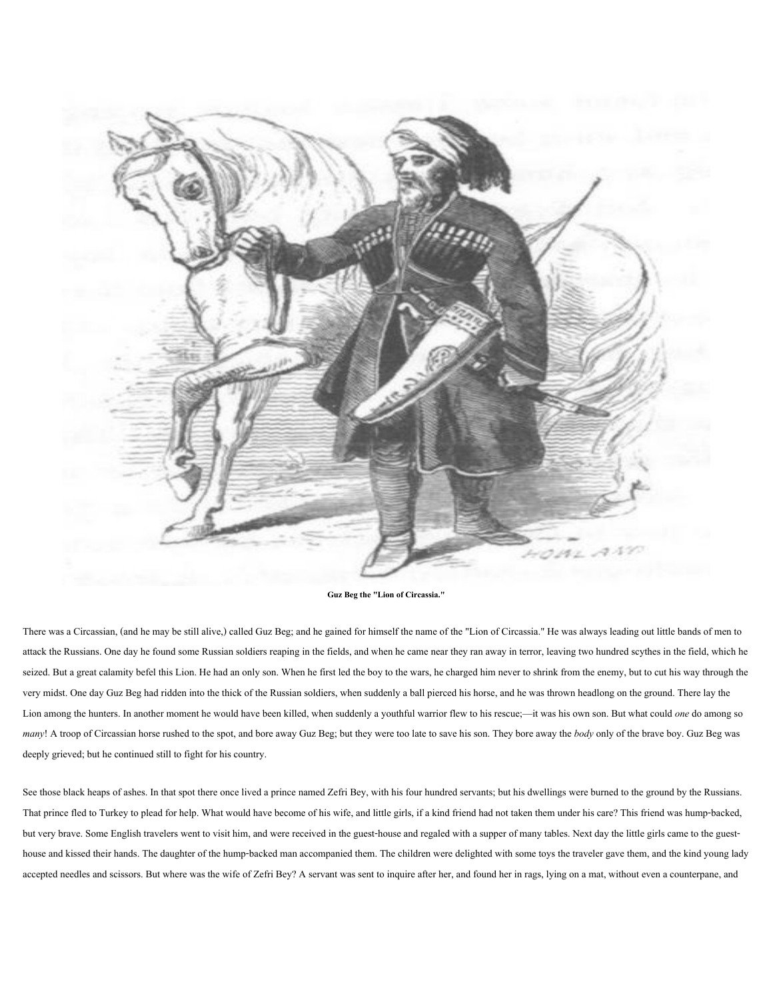

**Guz Beg the "Lion of Circassia."**

There was a Circassian, (and he may be still alive,) called Guz Beg; and he gained for himself the name of the "Lion of Circassia." He was always leading out little bands of men to attack the Russians. One day he found some Russian soldiers reaping in the fields, and when he came near they ran away in terror, leaving two hundred scythes in the field, which he seized. But a great calamity befel this Lion. He had an only son. When he first led the boy to the wars, he charged him never to shrink from the enemy, but to cut his way through the very midst. One day Guz Beg had ridden into the thick of the Russian soldiers, when suddenly a ball pierced his horse, and he was thrown headlong on the ground. There lay the Lion among the hunters. In another moment he would have been killed, when suddenly a youthful warrior flew to his rescue;—it was his own son. But what could *one* do among so *many*! A troop of Circassian horse rushed to the spot, and bore away Guz Beg; but they were too late to save his son. They bore away the *body* only of the brave boy. Guz Beg was deeply grieved; but he continued still to fight for his country.

See those black heaps of ashes. In that spot there once lived a prince named Zefri Bey, with his four hundred servants; but his dwellings were burned to the ground by the Russians. That prince fled to Turkey to plead for help. What would have become of his wife, and little girls, if a kind friend had not taken them under his care? This friend was hump-backed, but very brave. Some English travelers went to visit him, and were received in the guest-house and regaled with a supper of many tables. Next day the little girls came to the guesthouse and kissed their hands. The daughter of the hump-backed man accompanied them. The children were delighted with some toys the traveler gave them, and the kind young lady accepted needles and scissors. But where was the wife of Zefri Bey? A servant was sent to inquire after her, and found her in rags, lying on a mat, without even a counterpane, and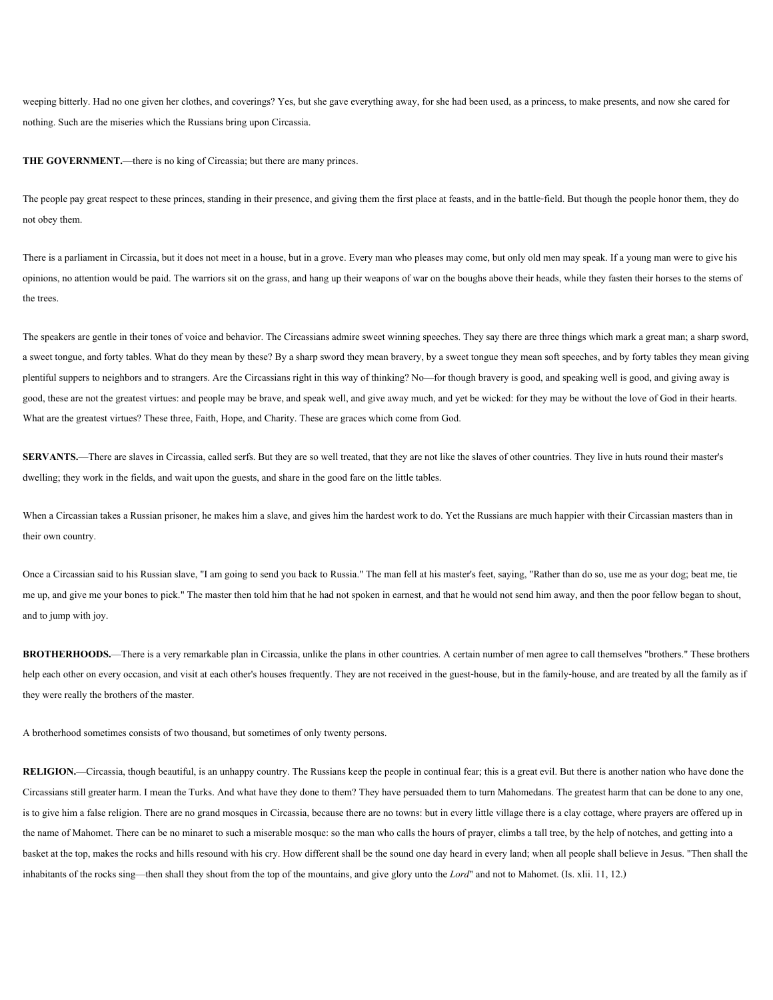weeping bitterly. Had no one given her clothes, and coverings? Yes, but she gave everything away, for she had been used, as a princess, to make presents, and now she cared for nothing. Such are the miseries which the Russians bring upon Circassia.

**THE GOVERNMENT.—there is no king of Circassia; but there are many princes.** 

The people pay great respect to these princes, standing in their presence, and giving them the first place at feasts, and in the battle-field. But though the people honor them, they do not obey them.

There is a parliament in Circassia, but it does not meet in a house, but in a grove. Every man who pleases may come, but only old men may speak. If a young man were to give his opinions, no attention would be paid. The warriors sit on the grass, and hang up their weapons of war on the boughs above their heads, while they fasten their horses to the stems of the trees.

The speakers are gentle in their tones of voice and behavior. The Circassians admire sweet winning speeches. They say there are three things which mark a great man; a sharp sword, a sweet tongue, and forty tables. What do they mean by these? By a sharp sword they mean bravery, by a sweet tongue they mean soft speeches, and by forty tables they mean giving plentiful suppers to neighbors and to strangers. Are the Circassians right in this way of thinking? No—for though bravery is good, and speaking well is good, and giving away is good, these are not the greatest virtues: and people may be brave, and speak well, and give away much, and yet be wicked: for they may be without the love of God in their hearts. What are the greatest virtues? These three, Faith, Hope, and Charity. These are graces which come from God.

**SERVANTS.**—There are slaves in Circassia, called serfs. But they are so well treated, that they are not like the slaves of other countries. They live in huts round their master's dwelling; they work in the fields, and wait upon the guests, and share in the good fare on the little tables.

When a Circassian takes a Russian prisoner, he makes him a slave, and gives him the hardest work to do. Yet the Russians are much happier with their Circassian masters than in their own country.

Once a Circassian said to his Russian slave, "I am going to send you back to Russia." The man fell at his master's feet, saying, "Rather than do so, use me as your dog; beat me, tie me up, and give me your bones to pick." The master then told him that he had not spoken in earnest, and that he would not send him away, and then the poor fellow began to shout, and to jump with joy.

**BROTHERHOODS.**—There is a very remarkable plan in Circassia, unlike the plans in other countries. A certain number of men agree to call themselves "brothers." These brothers help each other on every occasion, and visit at each other's houses frequently. They are not received in the guest-house, but in the family-house, and are treated by all the family as if they were really the brothers of the master.

A brotherhood sometimes consists of two thousand, but sometimes of only twenty persons.

RELIGION.—Circassia, though beautiful, is an unhappy country. The Russians keep the people in continual fear; this is a great evil. But there is another nation who have done the Circassians still greater harm. I mean the Turks. And what have they done to them? They have persuaded them to turn Mahomedans. The greatest harm that can be done to any one, is to give him a false religion. There are no grand mosques in Circassia, because there are no towns: but in every little village there is a clay cottage, where prayers are offered up in the name of Mahomet. There can be no minaret to such a miserable mosque: so the man who calls the hours of prayer, climbs a tall tree, by the help of notches, and getting into a basket at the top, makes the rocks and hills resound with his cry. How different shall be the sound one day heard in every land; when all people shall believe in Jesus. "Then shall the inhabitants of the rocks sing—then shall they shout from the top of the mountains, and give glory unto the *Lord*" and not to Mahomet. (Is. xlii. 11, 12.)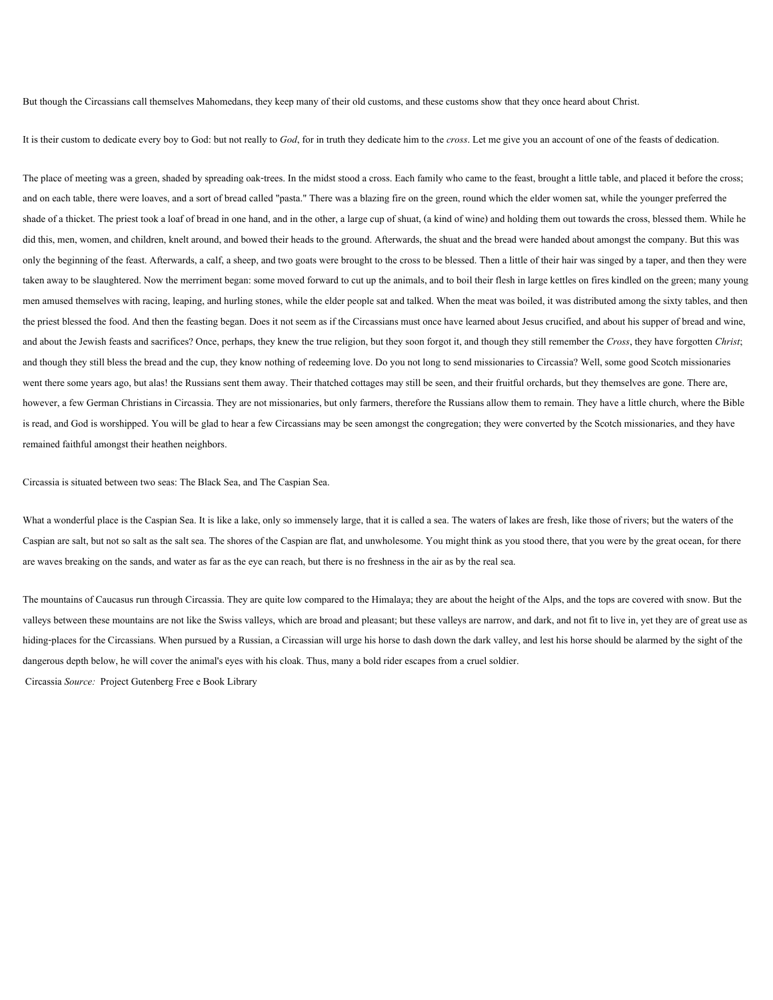But though the Circassians call themselves Mahomedans, they keep many of their old customs, and these customs show that they once heard about Christ.

It is their custom to dedicate every boy to God: but not really to *God*, for in truth they dedicate him to the *cross*. Let me give you an account of one of the feasts of dedication.

The place of meeting was a green, shaded by spreading oak-trees. In the midst stood a cross. Each family who came to the feast, brought a little table, and placed it before the cross; and on each table, there were loaves, and a sort of bread called "pasta." There was a blazing fire on the green, round which the elder women sat, while the younger preferred the shade of a thicket. The priest took a loaf of bread in one hand, and in the other, a large cup of shuat, (a kind of wine) and holding them out towards the cross, blessed them. While he did this, men, women, and children, knelt around, and bowed their heads to the ground. Afterwards, the shuat and the bread were handed about amongst the company. But this was only the beginning of the feast. Afterwards, a calf, a sheep, and two goats were brought to the cross to be blessed. Then a little of their hair was singed by a taper, and then they were taken away to be slaughtered. Now the merriment began: some moved forward to cut up the animals, and to boil their flesh in large kettles on fires kindled on the green; many young men amused themselves with racing, leaping, and hurling stones, while the elder people sat and talked. When the meat was boiled, it was distributed among the sixty tables, and then the priest blessed the food. And then the feasting began. Does it not seem as if the Circassians must once have learned about Jesus crucified, and about his supper of bread and wine, and about the Jewish feasts and sacrifices? Once, perhaps, they knew the true religion, but they soon forgot it, and though they still remember the *Cross*, they have forgotten *Christ*; and though they still bless the bread and the cup, they know nothing of redeeming love. Do you not long to send missionaries to Circassia? Well, some good Scotch missionaries went there some years ago, but alas! the Russians sent them away. Their thatched cottages may still be seen, and their fruitful orchards, but they themselves are gone. There are, however, a few German Christians in Circassia. They are not missionaries, but only farmers, therefore the Russians allow them to remain. They have a little church, where the Bible is read, and God is worshipped. You will be glad to hear a few Circassians may be seen amongst the congregation; they were converted by the Scotch missionaries, and they have remained faithful amongst their heathen neighbors.

Circassia is situated between two seas: The Black Sea, and The Caspian Sea.

What a wonderful place is the Caspian Sea. It is like a lake, only so immensely large, that it is called a sea. The waters of lakes are fresh, like those of rivers; but the waters of the Caspian are salt, but not so salt as the salt sea. The shores of the Caspian are flat, and unwholesome. You might think as you stood there, that you were by the great ocean, for there are waves breaking on the sands, and water as far as the eye can reach, but there is no freshness in the air as by the real sea.

The mountains of Caucasus run through Circassia. They are quite low compared to the Himalaya; they are about the height of the Alps, and the tops are covered with snow. But the valleys between these mountains are not like the Swiss valleys, which are broad and pleasant; but these valleys are narrow, and dark, and not fit to live in, yet they are of great use as hiding-places for the Circassians. When pursued by a Russian, a Circassian will urge his horse to dash down the dark valley, and lest his horse should be alarmed by the sight of the dangerous depth below, he will cover the animal's eyes with his cloak. Thus, many a bold rider escapes from a cruel soldier.

Circassia *Source:* Project Gutenberg Free e Book Library